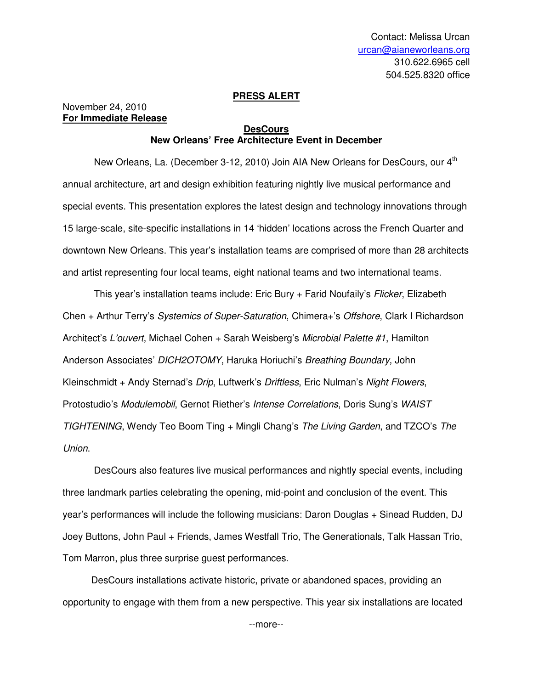## **PRESS ALERT**

November 24, 2010 **For Immediate Release**

## **DesCours New Orleans' Free Architecture Event in December**

New Orleans, La. (December 3-12, 2010) Join AIA New Orleans for DesCours, our 4<sup>th</sup> annual architecture, art and design exhibition featuring nightly live musical performance and special events. This presentation explores the latest design and technology innovations through 15 large-scale, site-specific installations in 14 'hidden' locations across the French Quarter and downtown New Orleans. This year's installation teams are comprised of more than 28 architects and artist representing four local teams, eight national teams and two international teams.

This year's installation teams include: Eric Bury + Farid Noufaily's Flicker, Elizabeth Chen + Arthur Terry's Systemics of Super-Saturation, Chimera+'s Offshore, Clark I Richardson Architect's L'ouvert, Michael Cohen + Sarah Weisberg's Microbial Palette #1, Hamilton Anderson Associates' DICH2OTOMY, Haruka Horiuchi's Breathing Boundary, John Kleinschmidt + Andy Sternad's Drip, Luftwerk's Driftless, Eric Nulman's Night Flowers, Protostudio's Modulemobil, Gernot Riether's Intense Correlations, Doris Sung's WAIST TIGHTENING, Wendy Teo Boom Ting + Mingli Chang's The Living Garden, and TZCO's The Union.

DesCours also features live musical performances and nightly special events, including three landmark parties celebrating the opening, mid-point and conclusion of the event. This year's performances will include the following musicians: Daron Douglas + Sinead Rudden, DJ Joey Buttons, John Paul + Friends, James Westfall Trio, The Generationals, Talk Hassan Trio, Tom Marron, plus three surprise guest performances.

DesCours installations activate historic, private or abandoned spaces, providing an opportunity to engage with them from a new perspective. This year six installations are located

--more--